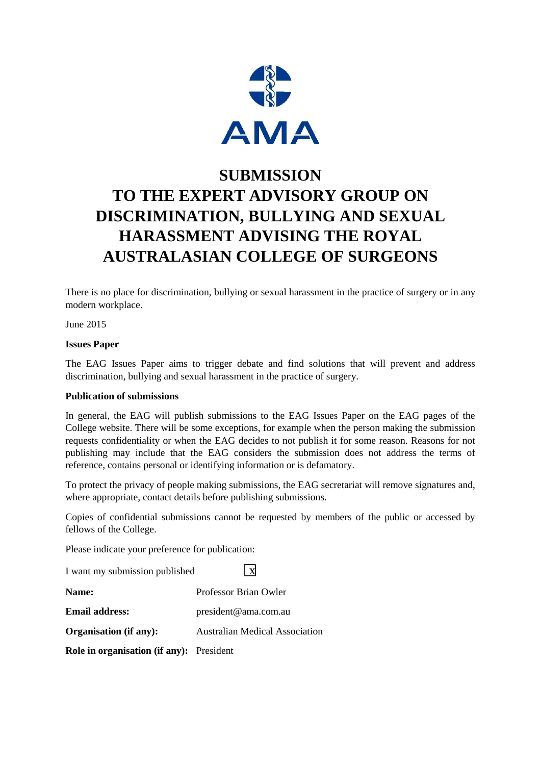

# **SUBMISSION TO THE EXPERT ADVISORY GROUP ON DISCRIMINATION, BULLYING AND SEXUAL HARASSMENT ADVISING THE ROYAL AUSTRALASIAN COLLEGE OF SURGEONS**

There is no place for discrimination, bullying or sexual harassment in the practice of surgery or in any modern workplace.

June 2015

#### **Issues Paper**

The EAG Issues Paper aims to trigger debate and find solutions that will prevent and address discrimination, bullying and sexual harassment in the practice of surgery.

#### **Publication of submissions**

In general, the EAG will publish submissions to the EAG Issues Paper on the EAG pages of the College website. There will be some exceptions, for example when the person making the submission requests confidentiality or when the EAG decides to not publish it for some reason. Reasons for not publishing may include that the EAG considers the submission does not address the terms of reference, contains personal or identifying information or is defamatory.

To protect the privacy of people making submissions, the EAG secretariat will remove signatures and, where appropriate, contact details before publishing submissions.

Copies of confidential submissions cannot be requested by members of the public or accessed by fellows of the College.

Please indicate your preference for publication:

I want my submission published  $\sqrt{\textbf{x}}$ **Name:** Professor Brian Owler **Email address:** president@ama.com.au **Organisation (if any):** Australian Medical Association **Role in organisation (if any):** President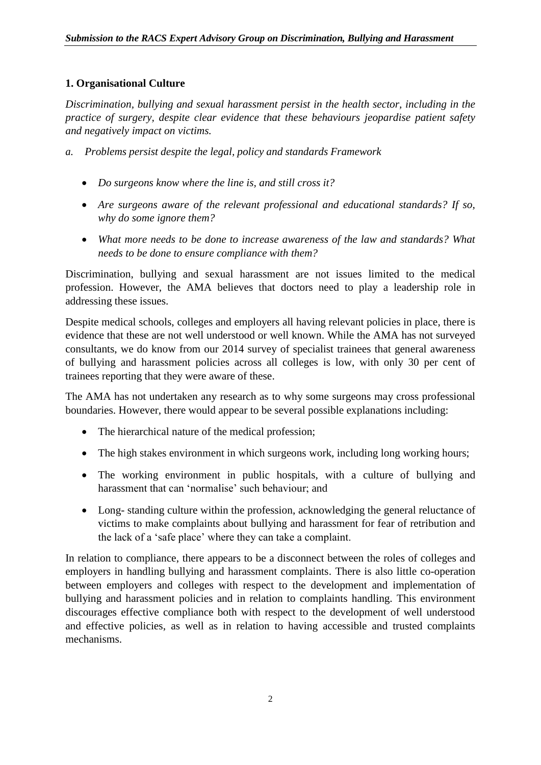# **1. Organisational Culture**

*Discrimination, bullying and sexual harassment persist in the health sector, including in the practice of surgery, despite clear evidence that these behaviours jeopardise patient safety and negatively impact on victims.*

- *a. Problems persist despite the legal, policy and standards Framework*
	- *Do surgeons know where the line is, and still cross it?*
	- *Are surgeons aware of the relevant professional and educational standards? If so, why do some ignore them?*
	- *What more needs to be done to increase awareness of the law and standards? What needs to be done to ensure compliance with them?*

Discrimination, bullying and sexual harassment are not issues limited to the medical profession. However, the AMA believes that doctors need to play a leadership role in addressing these issues.

Despite medical schools, colleges and employers all having relevant policies in place, there is evidence that these are not well understood or well known. While the AMA has not surveyed consultants, we do know from our 2014 survey of specialist trainees that general awareness of bullying and harassment policies across all colleges is low, with only 30 per cent of trainees reporting that they were aware of these.

The AMA has not undertaken any research as to why some surgeons may cross professional boundaries. However, there would appear to be several possible explanations including:

- The hierarchical nature of the medical profession;
- The high stakes environment in which surgeons work, including long working hours;
- The working environment in public hospitals, with a culture of bullying and harassment that can 'normalise' such behaviour; and
- Long- standing culture within the profession, acknowledging the general reluctance of victims to make complaints about bullying and harassment for fear of retribution and the lack of a 'safe place' where they can take a complaint.

In relation to compliance, there appears to be a disconnect between the roles of colleges and employers in handling bullying and harassment complaints. There is also little co-operation between employers and colleges with respect to the development and implementation of bullying and harassment policies and in relation to complaints handling. This environment discourages effective compliance both with respect to the development of well understood and effective policies, as well as in relation to having accessible and trusted complaints mechanisms.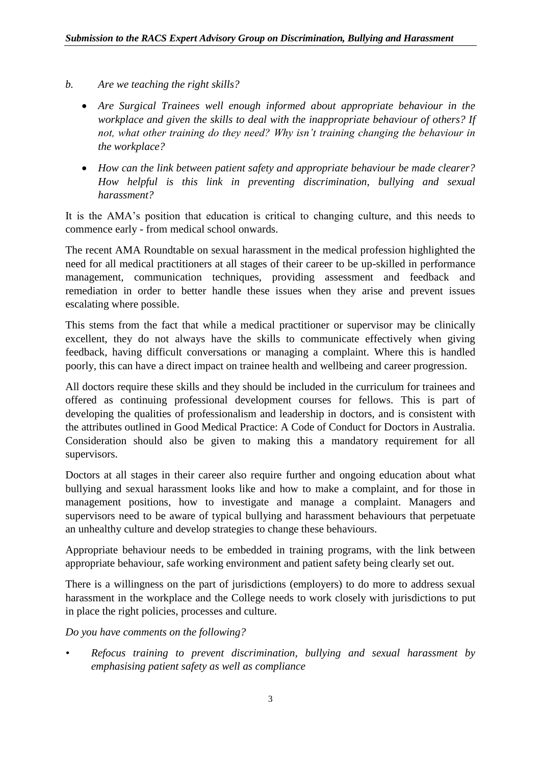- *b. Are we teaching the right skills?*
	- *Are Surgical Trainees well enough informed about appropriate behaviour in the workplace and given the skills to deal with the inappropriate behaviour of others? If not, what other training do they need? Why isn't training changing the behaviour in the workplace?*
	- *How can the link between patient safety and appropriate behaviour be made clearer? How helpful is this link in preventing discrimination, bullying and sexual harassment?*

It is the AMA's position that education is critical to changing culture, and this needs to commence early - from medical school onwards.

The recent AMA Roundtable on sexual harassment in the medical profession highlighted the need for all medical practitioners at all stages of their career to be up-skilled in performance management, communication techniques, providing assessment and feedback and remediation in order to better handle these issues when they arise and prevent issues escalating where possible.

This stems from the fact that while a medical practitioner or supervisor may be clinically excellent, they do not always have the skills to communicate effectively when giving feedback, having difficult conversations or managing a complaint. Where this is handled poorly, this can have a direct impact on trainee health and wellbeing and career progression.

All doctors require these skills and they should be included in the curriculum for trainees and offered as continuing professional development courses for fellows. This is part of developing the qualities of professionalism and leadership in doctors, and is consistent with the attributes outlined in Good Medical Practice: A Code of Conduct for Doctors in Australia. Consideration should also be given to making this a mandatory requirement for all supervisors.

Doctors at all stages in their career also require further and ongoing education about what bullying and sexual harassment looks like and how to make a complaint, and for those in management positions, how to investigate and manage a complaint. Managers and supervisors need to be aware of typical bullying and harassment behaviours that perpetuate an unhealthy culture and develop strategies to change these behaviours.

Appropriate behaviour needs to be embedded in training programs, with the link between appropriate behaviour, safe working environment and patient safety being clearly set out.

There is a willingness on the part of jurisdictions (employers) to do more to address sexual harassment in the workplace and the College needs to work closely with jurisdictions to put in place the right policies, processes and culture.

*Do you have comments on the following?*

*• Refocus training to prevent discrimination, bullying and sexual harassment by emphasising patient safety as well as compliance*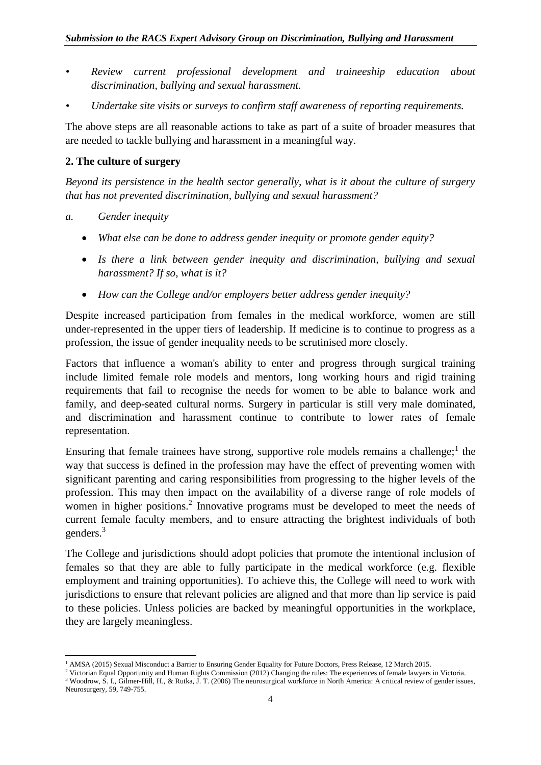- *• Review current professional development and traineeship education about discrimination, bullying and sexual harassment.*
- *• Undertake site visits or surveys to confirm staff awareness of reporting requirements.*

The above steps are all reasonable actions to take as part of a suite of broader measures that are needed to tackle bullying and harassment in a meaningful way.

#### **2. The culture of surgery**

*Beyond its persistence in the health sector generally, what is it about the culture of surgery that has not prevented discrimination, bullying and sexual harassment?*

- *a. Gender inequity*
	- *What else can be done to address gender inequity or promote gender equity?*
	- *Is there a link between gender inequity and discrimination, bullying and sexual harassment? If so, what is it?*
	- *How can the College and/or employers better address gender inequity?*

Despite increased participation from females in the medical workforce, women are still under-represented in the upper tiers of leadership. If medicine is to continue to progress as a profession, the issue of gender inequality needs to be scrutinised more closely.

Factors that influence a woman's ability to enter and progress through surgical training include limited female role models and mentors, long working hours and rigid training requirements that fail to recognise the needs for women to be able to balance work and family, and deep-seated cultural norms. Surgery in particular is still very male dominated, and discrimination and harassment continue to contribute to lower rates of female representation.

Ensuring that female trainees have strong, supportive role models remains a challenge; $<sup>1</sup>$  the</sup> way that success is defined in the profession may have the effect of preventing women with significant parenting and caring responsibilities from progressing to the higher levels of the profession. This may then impact on the availability of a diverse range of role models of women in higher positions.<sup>2</sup> Innovative programs must be developed to meet the needs of current female faculty members, and to ensure attracting the brightest individuals of both genders.<sup>3</sup>

The College and jurisdictions should adopt policies that promote the intentional inclusion of females so that they are able to fully participate in the medical workforce (e.g. flexible employment and training opportunities). To achieve this, the College will need to work with jurisdictions to ensure that relevant policies are aligned and that more than lip service is paid to these policies. Unless policies are backed by meaningful opportunities in the workplace, they are largely meaningless.

<sup>1</sup> <sup>1</sup> AMSA (2015) Sexual Misconduct a Barrier to Ensuring Gender Equality for Future Doctors, Press Release, 12 March 2015.

<sup>2</sup> Victorian Equal Opportunity and Human Rights Commission (2012) Changing the rules: The experiences of female lawyers in Victoria.

<sup>3</sup> Woodrow, S. I., Gilmer-Hill, H., & Rutka, J. T. (2006) The neurosurgical workforce in North America: A critical review of gender issues, Neurosurgery, 59, 749-755.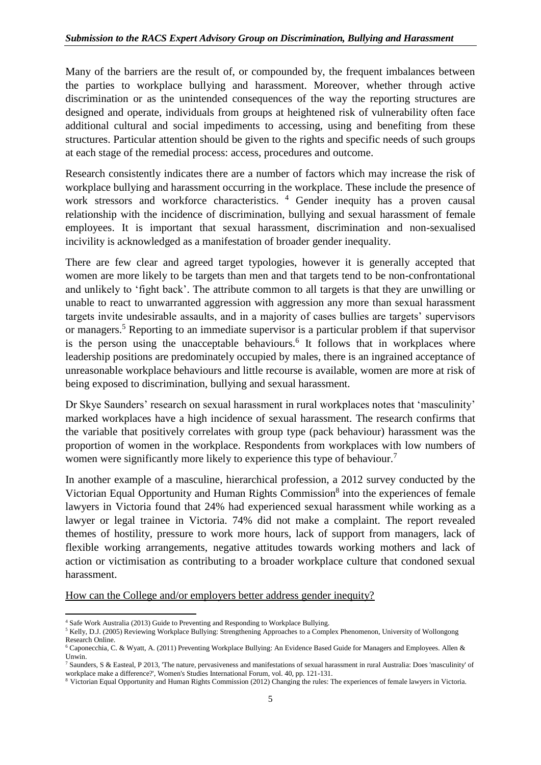Many of the barriers are the result of, or compounded by, the frequent imbalances between the parties to workplace bullying and harassment. Moreover, whether through active discrimination or as the unintended consequences of the way the reporting structures are designed and operate, individuals from groups at heightened risk of vulnerability often face additional cultural and social impediments to accessing, using and benefiting from these structures. Particular attention should be given to the rights and specific needs of such groups at each stage of the remedial process: access, procedures and outcome.

Research consistently indicates there are a number of factors which may increase the risk of workplace bullying and harassment occurring in the workplace. These include the presence of work stressors and workforce characteristics.<sup>4</sup> Gender inequity has a proven causal relationship with the incidence of discrimination, bullying and sexual harassment of female employees. It is important that sexual harassment, discrimination and non-sexualised incivility is acknowledged as a manifestation of broader gender inequality.

There are few clear and agreed target typologies, however it is generally accepted that women are more likely to be targets than men and that targets tend to be non-confrontational and unlikely to 'fight back'. The attribute common to all targets is that they are unwilling or unable to react to unwarranted aggression with aggression any more than sexual harassment targets invite undesirable assaults, and in a majority of cases bullies are targets' supervisors or managers.<sup>5</sup> Reporting to an immediate supervisor is a particular problem if that supervisor is the person using the unacceptable behaviours. $6$  It follows that in workplaces where leadership positions are predominately occupied by males, there is an ingrained acceptance of unreasonable workplace behaviours and little recourse is available, women are more at risk of being exposed to discrimination, bullying and sexual harassment.

Dr Skye Saunders' research on sexual harassment in rural workplaces notes that 'masculinity' marked workplaces have a high incidence of sexual harassment. The research confirms that the variable that positively correlates with group type (pack behaviour) harassment was the proportion of women in the workplace. Respondents from workplaces with low numbers of women were significantly more likely to experience this type of behaviour.<sup>7</sup>

In another example of a masculine, hierarchical profession, a 2012 survey conducted by the Victorian Equal Opportunity and Human Rights Commission<sup>8</sup> into the experiences of female lawyers in Victoria found that 24% had experienced sexual harassment while working as a lawyer or legal trainee in Victoria. 74% did not make a complaint. The report revealed themes of hostility, pressure to work more hours, lack of support from managers, lack of flexible working arrangements, negative attitudes towards working mothers and lack of action or victimisation as contributing to a broader workplace culture that condoned sexual harassment.

How can the College and/or employers better address gender inequity?

**<sup>.</sup>** <sup>4</sup> Safe Work Australia (2013) Guide to Preventing and Responding to Workplace Bullying.

<sup>&</sup>lt;sup>5</sup> Kelly, D.J. (2005) Reviewing Workplace Bullying: Strengthening Approaches to a Complex Phenomenon, University of Wollongong Research Online.

<sup>6</sup> Caponecchia, C. & Wyatt, A. (2011) Preventing Workplace Bullying: An Evidence Based Guide for Managers and Employees. Allen & Unwin.

<sup>7</sup> Saunders, S & Easteal, P 2013, 'The nature, pervasiveness and manifestations of sexual harassment in rural Australia: Does 'masculinity' of workplace make a difference?', Women's Studies International Forum, vol. 40, pp. 121-131.

<sup>8</sup> Victorian Equal Opportunity and Human Rights Commission (2012) Changing the rules: The experiences of female lawyers in Victoria.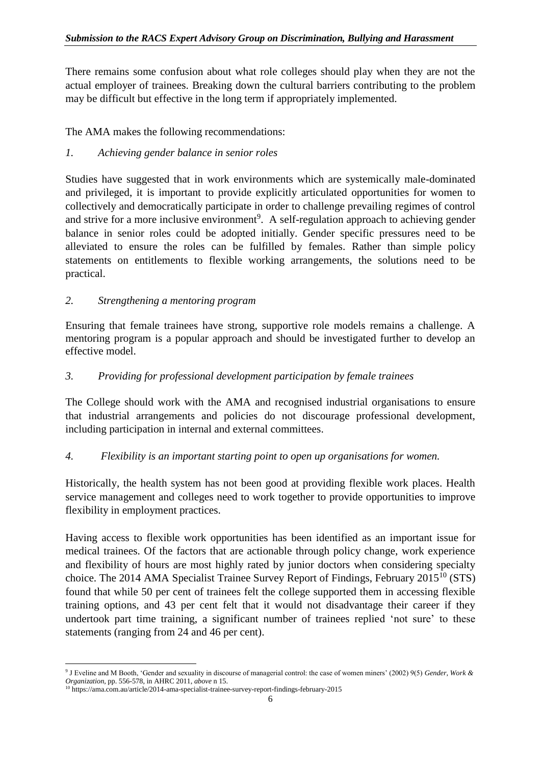There remains some confusion about what role colleges should play when they are not the actual employer of trainees. Breaking down the cultural barriers contributing to the problem may be difficult but effective in the long term if appropriately implemented.

The AMA makes the following recommendations:

*1. Achieving gender balance in senior roles*

Studies have suggested that in work environments which are systemically male-dominated and privileged, it is important to provide explicitly articulated opportunities for women to collectively and democratically participate in order to challenge prevailing regimes of control and strive for a more inclusive environment<sup>9</sup>. A self-regulation approach to achieving gender balance in senior roles could be adopted initially. Gender specific pressures need to be alleviated to ensure the roles can be fulfilled by females. Rather than simple policy statements on entitlements to flexible working arrangements, the solutions need to be practical.

# *2. Strengthening a mentoring program*

Ensuring that female trainees have strong, supportive role models remains a challenge. A mentoring program is a popular approach and should be investigated further to develop an effective model.

# *3. Providing for professional development participation by female trainees*

The College should work with the AMA and recognised industrial organisations to ensure that industrial arrangements and policies do not discourage professional development, including participation in internal and external committees.

# *4. Flexibility is an important starting point to open up organisations for women.*

Historically, the health system has not been good at providing flexible work places. Health service management and colleges need to work together to provide opportunities to improve flexibility in employment practices.

Having access to flexible work opportunities has been identified as an important issue for medical trainees. Of the factors that are actionable through policy change, work experience and flexibility of hours are most highly rated by junior doctors when considering specialty choice. The 2014 AMA Specialist Trainee Survey Report of Findings, February 2015<sup>10</sup> (STS) found that while 50 per cent of trainees felt the college supported them in accessing flexible training options, and 43 per cent felt that it would not disadvantage their career if they undertook part time training, a significant number of trainees replied 'not sure' to these statements (ranging from 24 and 46 per cent).

**<sup>.</sup>** 9 J Eveline and M Booth, 'Gender and sexuality in discourse of managerial control: the case of women miners' (2002) 9(5) *Gender, Work & Organization*, pp. 556-578, in AHRC 2011, *above* n 15.

<sup>10</sup> https://ama.com.au/article/2014-ama-specialist-trainee-survey-report-findings-february-2015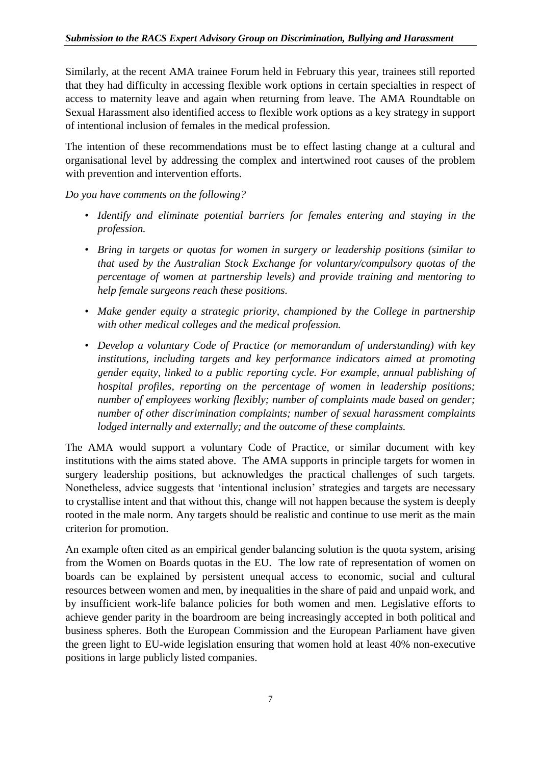Similarly, at the recent AMA trainee Forum held in February this year, trainees still reported that they had difficulty in accessing flexible work options in certain specialties in respect of access to maternity leave and again when returning from leave. The AMA Roundtable on Sexual Harassment also identified access to flexible work options as a key strategy in support of intentional inclusion of females in the medical profession.

The intention of these recommendations must be to effect lasting change at a cultural and organisational level by addressing the complex and intertwined root causes of the problem with prevention and intervention efforts.

*Do you have comments on the following?*

- *Identify and eliminate potential barriers for females entering and staying in the profession.*
- *Bring in targets or quotas for women in surgery or leadership positions (similar to that used by the Australian Stock Exchange for voluntary/compulsory quotas of the percentage of women at partnership levels) and provide training and mentoring to help female surgeons reach these positions.*
- *Make gender equity a strategic priority, championed by the College in partnership with other medical colleges and the medical profession.*
- *Develop a voluntary Code of Practice (or memorandum of understanding) with key institutions, including targets and key performance indicators aimed at promoting gender equity, linked to a public reporting cycle. For example, annual publishing of hospital profiles, reporting on the percentage of women in leadership positions; number of employees working flexibly; number of complaints made based on gender; number of other discrimination complaints; number of sexual harassment complaints lodged internally and externally; and the outcome of these complaints.*

The AMA would support a voluntary Code of Practice, or similar document with key institutions with the aims stated above. The AMA supports in principle targets for women in surgery leadership positions, but acknowledges the practical challenges of such targets. Nonetheless, advice suggests that 'intentional inclusion' strategies and targets are necessary to crystallise intent and that without this, change will not happen because the system is deeply rooted in the male norm. Any targets should be realistic and continue to use merit as the main criterion for promotion.

An example often cited as an empirical gender balancing solution is the quota system, arising from the Women on Boards quotas in the EU. The low rate of representation of women on boards can be explained by persistent unequal access to economic, social and cultural resources between women and men, by inequalities in the share of paid and unpaid work, and by insufficient work-life balance policies for both women and men. Legislative efforts to achieve gender parity in the boardroom are being increasingly accepted in both political and business spheres. Both the European Commission and the European Parliament have given the green light to EU-wide legislation ensuring that women hold at least 40% non-executive positions in large publicly listed companies.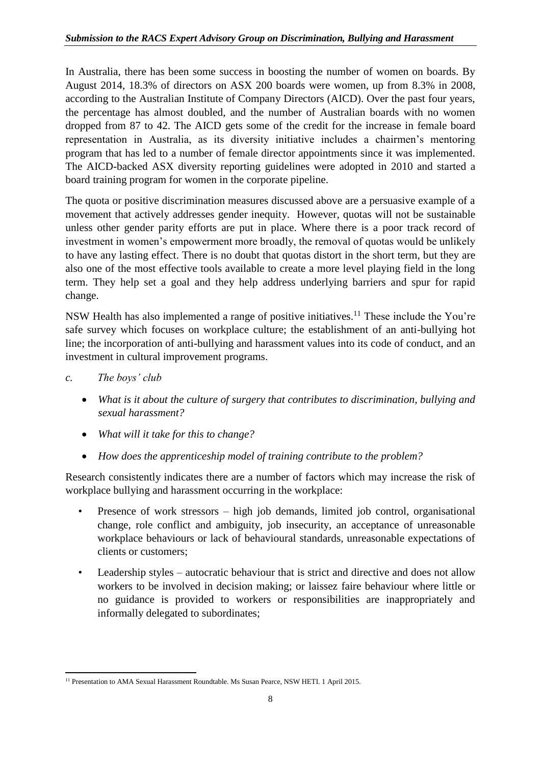In Australia, there has been some success in boosting the number of women on boards. By August 2014, 18.3% of directors on ASX 200 boards were women, up from 8.3% in 2008, according to the Australian Institute of Company Directors (AICD). Over the past four years, the percentage has almost doubled, and the number of Australian boards with no women dropped from 87 to 42. The AICD gets some of the credit for the increase in female board representation in Australia, as its diversity initiative includes a chairmen's mentoring program that has led to a number of female director appointments since it was implemented. The AICD-backed ASX diversity reporting guidelines were adopted in 2010 and started a board training program for women in the corporate pipeline.

The quota or positive discrimination measures discussed above are a persuasive example of a movement that actively addresses gender inequity. However, quotas will not be sustainable unless other gender parity efforts are put in place. Where there is a poor track record of investment in women's empowerment more broadly, the removal of quotas would be unlikely to have any lasting effect. There is no doubt that quotas distort in the short term, but they are also one of the most effective tools available to create a more level playing field in the long term. They help set a goal and they help address underlying barriers and spur for rapid change.

NSW Health has also implemented a range of positive initiatives.<sup>11</sup> These include the You're safe survey which focuses on workplace culture; the establishment of an anti-bullying hot line; the incorporation of anti-bullying and harassment values into its code of conduct, and an investment in cultural improvement programs.

# *c. The boys' club*

- *What is it about the culture of surgery that contributes to discrimination, bullying and sexual harassment?*
- *What will it take for this to change?*
- *How does the apprenticeship model of training contribute to the problem?*

Research consistently indicates there are a number of factors which may increase the risk of workplace bullying and harassment occurring in the workplace:

- Presence of work stressors high job demands, limited job control, organisational change, role conflict and ambiguity, job insecurity, an acceptance of unreasonable workplace behaviours or lack of behavioural standards, unreasonable expectations of clients or customers;
- Leadership styles autocratic behaviour that is strict and directive and does not allow workers to be involved in decision making; or laissez faire behaviour where little or no guidance is provided to workers or responsibilities are inappropriately and informally delegated to subordinates;

**<sup>.</sup>** <sup>11</sup> Presentation to AMA Sexual Harassment Roundtable. Ms Susan Pearce, NSW HETI. 1 April 2015.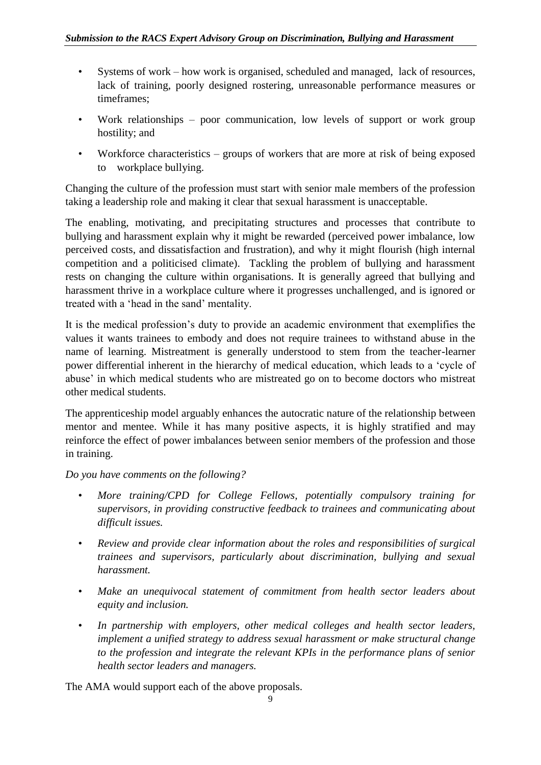- Systems of work how work is organised, scheduled and managed, lack of resources, lack of training, poorly designed rostering, unreasonable performance measures or timeframes;
- Work relationships poor communication, low levels of support or work group hostility; and
- Workforce characteristics groups of workers that are more at risk of being exposed to workplace bullying.

Changing the culture of the profession must start with senior male members of the profession taking a leadership role and making it clear that sexual harassment is unacceptable.

The enabling, motivating, and precipitating structures and processes that contribute to bullying and harassment explain why it might be rewarded (perceived power imbalance, low perceived costs, and dissatisfaction and frustration), and why it might flourish (high internal competition and a politicised climate). Tackling the problem of bullying and harassment rests on changing the culture within organisations. It is generally agreed that bullying and harassment thrive in a workplace culture where it progresses unchallenged, and is ignored or treated with a 'head in the sand' mentality.

It is the medical profession's duty to provide an academic environment that exemplifies the values it wants trainees to embody and does not require trainees to withstand abuse in the name of learning. Mistreatment is generally understood to stem from the teacher-learner power differential inherent in the hierarchy of medical education, which leads to a 'cycle of abuse' in which medical students who are mistreated go on to become doctors who mistreat other medical students.

The apprenticeship model arguably enhances the autocratic nature of the relationship between mentor and mentee. While it has many positive aspects, it is highly stratified and may reinforce the effect of power imbalances between senior members of the profession and those in training.

# *Do you have comments on the following?*

- *More training/CPD for College Fellows, potentially compulsory training for supervisors, in providing constructive feedback to trainees and communicating about difficult issues.*
- *Review and provide clear information about the roles and responsibilities of surgical trainees and supervisors, particularly about discrimination, bullying and sexual harassment.*
- *Make an unequivocal statement of commitment from health sector leaders about equity and inclusion.*
- *In partnership with employers, other medical colleges and health sector leaders, implement a unified strategy to address sexual harassment or make structural change to the profession and integrate the relevant KPIs in the performance plans of senior health sector leaders and managers.*

The AMA would support each of the above proposals.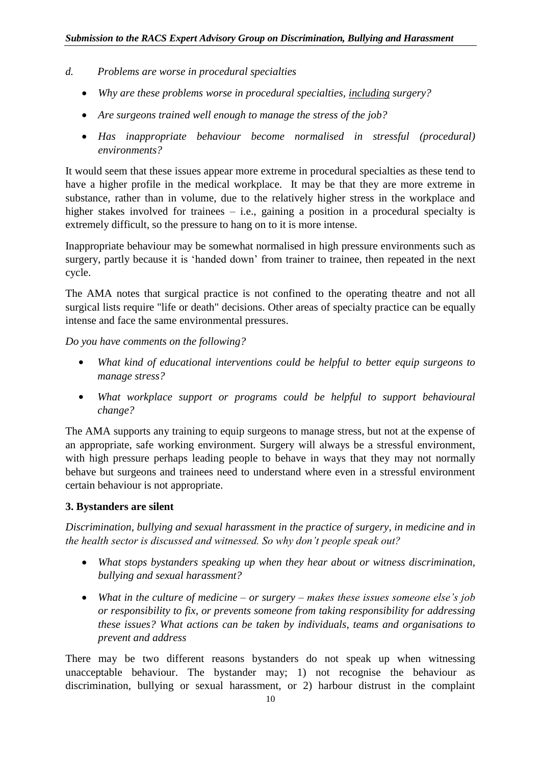- *d. Problems are worse in procedural specialties*
	- *Why are these problems worse in procedural specialties, including surgery?*
	- *Are surgeons trained well enough to manage the stress of the job?*
	- *Has inappropriate behaviour become normalised in stressful (procedural) environments?*

It would seem that these issues appear more extreme in procedural specialties as these tend to have a higher profile in the medical workplace. It may be that they are more extreme in substance, rather than in volume, due to the relatively higher stress in the workplace and higher stakes involved for trainees – i.e., gaining a position in a procedural specialty is extremely difficult, so the pressure to hang on to it is more intense.

Inappropriate behaviour may be somewhat normalised in high pressure environments such as surgery, partly because it is 'handed down' from trainer to trainee, then repeated in the next cycle.

The AMA notes that surgical practice is not confined to the operating theatre and not all surgical lists require "life or death" decisions. Other areas of specialty practice can be equally intense and face the same environmental pressures.

*Do you have comments on the following?*

- **•** *What kind of educational interventions could be helpful to better equip surgeons to manage stress?*
- **•** *What workplace support or programs could be helpful to support behavioural change?*

The AMA supports any training to equip surgeons to manage stress, but not at the expense of an appropriate, safe working environment. Surgery will always be a stressful environment, with high pressure perhaps leading people to behave in ways that they may not normally behave but surgeons and trainees need to understand where even in a stressful environment certain behaviour is not appropriate.

# **3. Bystanders are silent**

*Discrimination, bullying and sexual harassment in the practice of surgery, in medicine and in the health sector is discussed and witnessed. So why don't people speak out?*

- *What stops bystanders speaking up when they hear about or witness discrimination, bullying and sexual harassment?*
- *What in the culture of medicine – or surgery – makes these issues someone else's job or responsibility to fix, or prevents someone from taking responsibility for addressing these issues? What actions can be taken by individuals, teams and organisations to prevent and address*

There may be two different reasons bystanders do not speak up when witnessing unacceptable behaviour. The bystander may; 1) not recognise the behaviour as discrimination, bullying or sexual harassment, or 2) harbour distrust in the complaint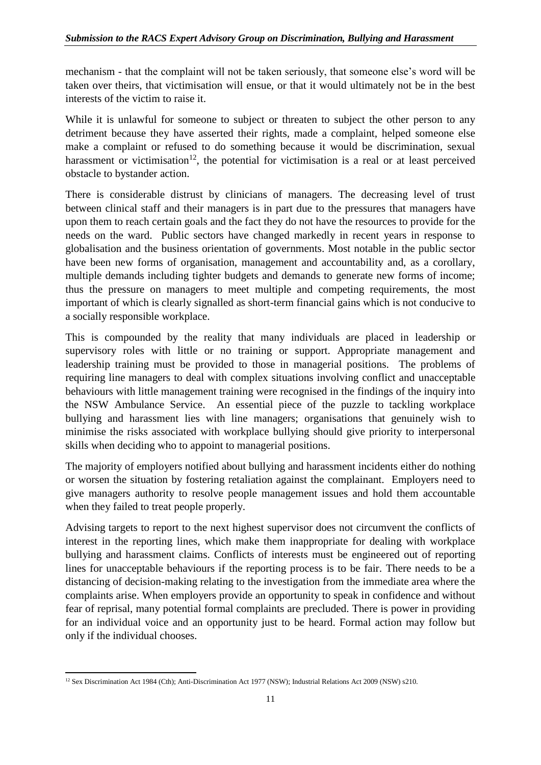mechanism - that the complaint will not be taken seriously, that someone else's word will be taken over theirs, that victimisation will ensue, or that it would ultimately not be in the best interests of the victim to raise it.

While it is unlawful for someone to subject or threaten to subject the other person to any detriment because they have asserted their rights, made a complaint, helped someone else make a complaint or refused to do something because it would be discrimination, sexual harassment or victimisation<sup>12</sup>, the potential for victimisation is a real or at least perceived obstacle to bystander action.

There is considerable distrust by clinicians of managers. The decreasing level of trust between clinical staff and their managers is in part due to the pressures that managers have upon them to reach certain goals and the fact they do not have the resources to provide for the needs on the ward. Public sectors have changed markedly in recent years in response to globalisation and the business orientation of governments. Most notable in the public sector have been new forms of organisation, management and accountability and, as a corollary, multiple demands including tighter budgets and demands to generate new forms of income; thus the pressure on managers to meet multiple and competing requirements, the most important of which is clearly signalled as short-term financial gains which is not conducive to a socially responsible workplace.

This is compounded by the reality that many individuals are placed in leadership or supervisory roles with little or no training or support. Appropriate management and leadership training must be provided to those in managerial positions. The problems of requiring line managers to deal with complex situations involving conflict and unacceptable behaviours with little management training were recognised in the findings of the inquiry into the NSW Ambulance Service. An essential piece of the puzzle to tackling workplace bullying and harassment lies with line managers; organisations that genuinely wish to minimise the risks associated with workplace bullying should give priority to interpersonal skills when deciding who to appoint to managerial positions.

The majority of employers notified about bullying and harassment incidents either do nothing or worsen the situation by fostering retaliation against the complainant. Employers need to give managers authority to resolve people management issues and hold them accountable when they failed to treat people properly.

Advising targets to report to the next highest supervisor does not circumvent the conflicts of interest in the reporting lines, which make them inappropriate for dealing with workplace bullying and harassment claims. Conflicts of interests must be engineered out of reporting lines for unacceptable behaviours if the reporting process is to be fair. There needs to be a distancing of decision-making relating to the investigation from the immediate area where the complaints arise. When employers provide an opportunity to speak in confidence and without fear of reprisal, many potential formal complaints are precluded. There is power in providing for an individual voice and an opportunity just to be heard. Formal action may follow but only if the individual chooses.

**<sup>.</sup>** <sup>12</sup> Sex Discrimination Act 1984 (Cth); Anti-Discrimination Act 1977 (NSW); Industrial Relations Act 2009 (NSW) s210.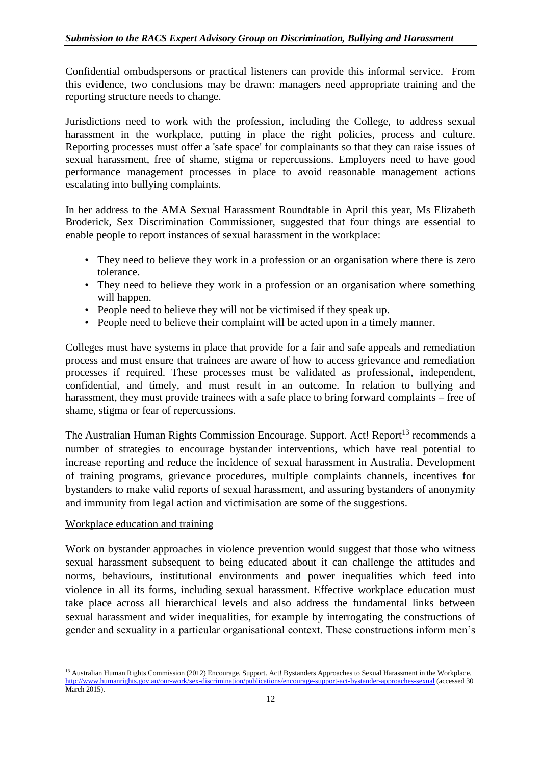Confidential ombudspersons or practical listeners can provide this informal service. From this evidence, two conclusions may be drawn: managers need appropriate training and the reporting structure needs to change.

Jurisdictions need to work with the profession, including the College, to address sexual harassment in the workplace, putting in place the right policies, process and culture. Reporting processes must offer a 'safe space' for complainants so that they can raise issues of sexual harassment, free of shame, stigma or repercussions. Employers need to have good performance management processes in place to avoid reasonable management actions escalating into bullying complaints.

In her address to the AMA Sexual Harassment Roundtable in April this year, Ms Elizabeth Broderick, Sex Discrimination Commissioner, suggested that four things are essential to enable people to report instances of sexual harassment in the workplace:

- They need to believe they work in a profession or an organisation where there is zero tolerance.
- They need to believe they work in a profession or an organisation where something will happen.
- People need to believe they will not be victimised if they speak up.
- People need to believe their complaint will be acted upon in a timely manner.

Colleges must have systems in place that provide for a fair and safe appeals and remediation process and must ensure that trainees are aware of how to access grievance and remediation processes if required. These processes must be validated as professional, independent, confidential, and timely, and must result in an outcome. In relation to bullying and harassment, they must provide trainees with a safe place to bring forward complaints – free of shame, stigma or fear of repercussions.

The Australian Human Rights Commission Encourage. Support. Act! Report<sup>13</sup> recommends a number of strategies to encourage bystander interventions, which have real potential to increase reporting and reduce the incidence of sexual harassment in Australia. Development of training programs, grievance procedures, multiple complaints channels, incentives for bystanders to make valid reports of sexual harassment, and assuring bystanders of anonymity and immunity from legal action and victimisation are some of the suggestions.

# Workplace education and training

Work on bystander approaches in violence prevention would suggest that those who witness sexual harassment subsequent to being educated about it can challenge the attitudes and norms, behaviours, institutional environments and power inequalities which feed into violence in all its forms, including sexual harassment. Effective workplace education must take place across all hierarchical levels and also address the fundamental links between sexual harassment and wider inequalities, for example by interrogating the constructions of gender and sexuality in a particular organisational context. These constructions inform men's

**<sup>.</sup>** <sup>13</sup> Australian Human Rights Commission (2012) Encourage. Support. Act! Bystanders Approaches to Sexual Harassment in the Workplace. <http://www.humanrights.gov.au/our-work/sex-discrimination/publications/encourage-support-act-bystander-approaches-sexual> (accessed 30 March 2015).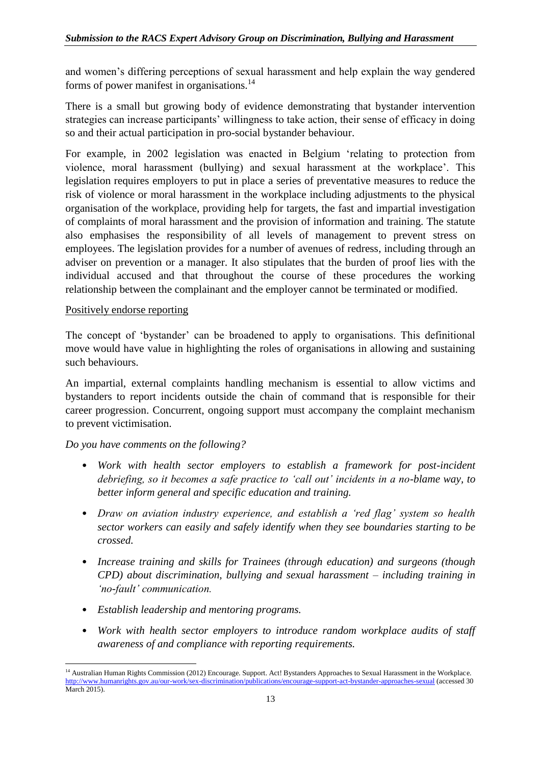and women's differing perceptions of sexual harassment and help explain the way gendered forms of power manifest in organisations.<sup>14</sup>

There is a small but growing body of evidence demonstrating that bystander intervention strategies can increase participants' willingness to take action, their sense of efficacy in doing so and their actual participation in pro-social bystander behaviour.

For example, in 2002 legislation was enacted in Belgium 'relating to protection from violence, moral harassment (bullying) and sexual harassment at the workplace'. This legislation requires employers to put in place a series of preventative measures to reduce the risk of violence or moral harassment in the workplace including adjustments to the physical organisation of the workplace, providing help for targets, the fast and impartial investigation of complaints of moral harassment and the provision of information and training. The statute also emphasises the responsibility of all levels of management to prevent stress on employees. The legislation provides for a number of avenues of redress, including through an adviser on prevention or a manager. It also stipulates that the burden of proof lies with the individual accused and that throughout the course of these procedures the working relationship between the complainant and the employer cannot be terminated or modified.

#### Positively endorse reporting

The concept of 'bystander' can be broadened to apply to organisations. This definitional move would have value in highlighting the roles of organisations in allowing and sustaining such behaviours.

An impartial, external complaints handling mechanism is essential to allow victims and bystanders to report incidents outside the chain of command that is responsible for their career progression. Concurrent, ongoing support must accompany the complaint mechanism to prevent victimisation.

#### *Do you have comments on the following?*

- *Work with health sector employers to establish a framework for post-incident debriefing, so it becomes a safe practice to 'call out' incidents in a no-blame way, to better inform general and specific education and training.*
- *Draw on aviation industry experience, and establish a 'red flag' system so health sector workers can easily and safely identify when they see boundaries starting to be crossed.*
- *Increase training and skills for Trainees (through education) and surgeons (though CPD) about discrimination, bullying and sexual harassment – including training in 'no-fault' communication.*
- *Establish leadership and mentoring programs.*
- *Work with health sector employers to introduce random workplace audits of staff awareness of and compliance with reporting requirements.*

**<sup>.</sup>** <sup>14</sup> Australian Human Rights Commission (2012) Encourage. Support. Act! Bystanders Approaches to Sexual Harassment in the Workplace. <http://www.humanrights.gov.au/our-work/sex-discrimination/publications/encourage-support-act-bystander-approaches-sexual> (accessed 30 March 2015).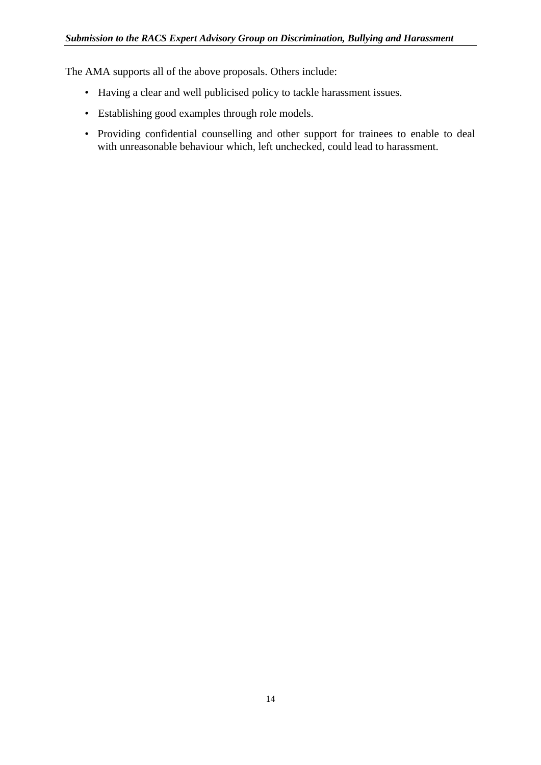The AMA supports all of the above proposals. Others include:

- Having a clear and well publicised policy to tackle harassment issues.
- Establishing good examples through role models.
- Providing confidential counselling and other support for trainees to enable to deal with unreasonable behaviour which, left unchecked, could lead to harassment.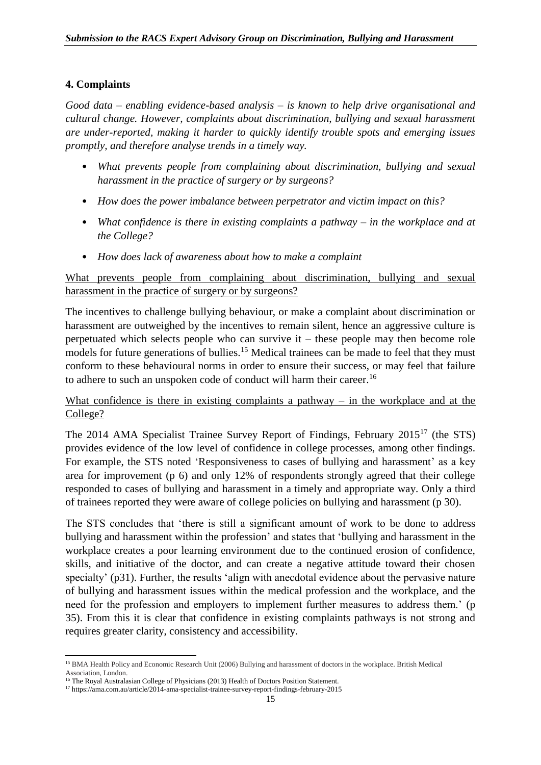#### **4. Complaints**

*Good data – enabling evidence-based analysis – is known to help drive organisational and cultural change. However, complaints about discrimination, bullying and sexual harassment are under-reported, making it harder to quickly identify trouble spots and emerging issues promptly, and therefore analyse trends in a timely way.*

- *What prevents people from complaining about discrimination, bullying and sexual harassment in the practice of surgery or by surgeons?*
- *How does the power imbalance between perpetrator and victim impact on this?*
- *What confidence is there in existing complaints a pathway – in the workplace and at the College?*
- *How does lack of awareness about how to make a complaint*

# What prevents people from complaining about discrimination, bullying and sexual harassment in the practice of surgery or by surgeons?

The incentives to challenge bullying behaviour, or make a complaint about discrimination or harassment are outweighed by the incentives to remain silent, hence an aggressive culture is perpetuated which selects people who can survive it – these people may then become role models for future generations of bullies.<sup>15</sup> Medical trainees can be made to feel that they must conform to these behavioural norms in order to ensure their success, or may feel that failure to adhere to such an unspoken code of conduct will harm their career.<sup>16</sup>

# What confidence is there in existing complaints a pathway  $-$  in the workplace and at the College?

The 2014 AMA Specialist Trainee Survey Report of Findings, February 2015<sup>17</sup> (the STS) provides evidence of the low level of confidence in college processes, among other findings. For example, the STS noted 'Responsiveness to cases of bullying and harassment' as a key area for improvement (p 6) and only 12% of respondents strongly agreed that their college responded to cases of bullying and harassment in a timely and appropriate way. Only a third of trainees reported they were aware of college policies on bullying and harassment (p 30).

The STS concludes that 'there is still a significant amount of work to be done to address bullying and harassment within the profession' and states that 'bullying and harassment in the workplace creates a poor learning environment due to the continued erosion of confidence, skills, and initiative of the doctor, and can create a negative attitude toward their chosen specialty' (p31). Further, the results 'align with anecdotal evidence about the pervasive nature of bullying and harassment issues within the medical profession and the workplace, and the need for the profession and employers to implement further measures to address them.' (p 35). From this it is clear that confidence in existing complaints pathways is not strong and requires greater clarity, consistency and accessibility.

<sup>1</sup> <sup>15</sup> BMA Health Policy and Economic Research Unit (2006) Bullying and harassment of doctors in the workplace. British Medical Association, London.

<sup>&</sup>lt;sup>16</sup> The Royal Australasian College of Physicians (2013) Health of Doctors Position Statement.

<sup>17</sup> https://ama.com.au/article/2014-ama-specialist-trainee-survey-report-findings-february-2015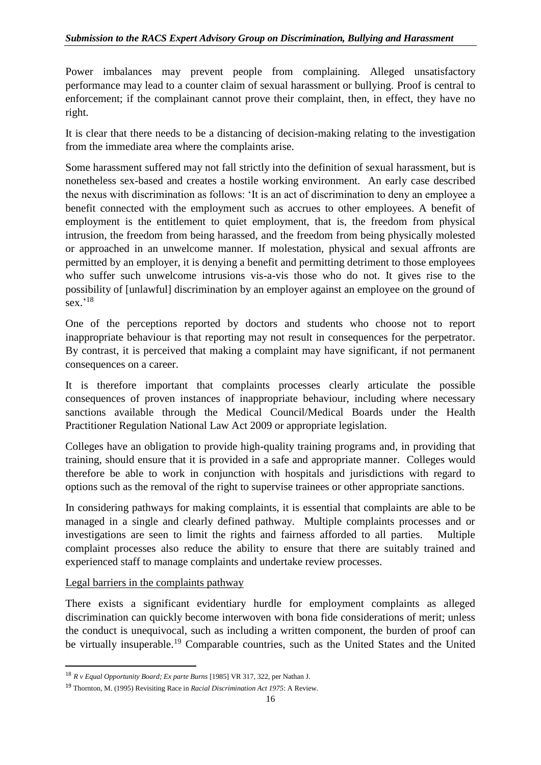Power imbalances may prevent people from complaining. Alleged unsatisfactory performance may lead to a counter claim of sexual harassment or bullying. Proof is central to enforcement; if the complainant cannot prove their complaint, then, in effect, they have no right.

It is clear that there needs to be a distancing of decision-making relating to the investigation from the immediate area where the complaints arise.

Some harassment suffered may not fall strictly into the definition of sexual harassment, but is nonetheless sex-based and creates a hostile working environment. An early case described the nexus with discrimination as follows: 'It is an act of discrimination to deny an employee a benefit connected with the employment such as accrues to other employees. A benefit of employment is the entitlement to quiet employment, that is, the freedom from physical intrusion, the freedom from being harassed, and the freedom from being physically molested or approached in an unwelcome manner. If molestation, physical and sexual affronts are permitted by an employer, it is denying a benefit and permitting detriment to those employees who suffer such unwelcome intrusions vis-a-vis those who do not. It gives rise to the possibility of [unlawful] discrimination by an employer against an employee on the ground of sex.' 18

One of the perceptions reported by doctors and students who choose not to report inappropriate behaviour is that reporting may not result in consequences for the perpetrator. By contrast, it is perceived that making a complaint may have significant, if not permanent consequences on a career.

It is therefore important that complaints processes clearly articulate the possible consequences of proven instances of inappropriate behaviour, including where necessary sanctions available through the Medical Council/Medical Boards under the Health Practitioner Regulation National Law Act 2009 or appropriate legislation.

Colleges have an obligation to provide high-quality training programs and, in providing that training, should ensure that it is provided in a safe and appropriate manner. Colleges would therefore be able to work in conjunction with hospitals and jurisdictions with regard to options such as the removal of the right to supervise trainees or other appropriate sanctions.

In considering pathways for making complaints, it is essential that complaints are able to be managed in a single and clearly defined pathway. Multiple complaints processes and or investigations are seen to limit the rights and fairness afforded to all parties. Multiple complaint processes also reduce the ability to ensure that there are suitably trained and experienced staff to manage complaints and undertake review processes.

# Legal barriers in the complaints pathway

1

There exists a significant evidentiary hurdle for employment complaints as alleged discrimination can quickly become interwoven with bona fide considerations of merit; unless the conduct is unequivocal, such as including a written component, the burden of proof can be virtually insuperable.<sup>19</sup> Comparable countries, such as the United States and the United

<sup>18</sup> *R v Equal Opportunity Board; Ex parte Burns* [1985] VR 317, 322, per Nathan J.

<sup>19</sup> Thornton, M. (1995) Revisiting Race in *Racial Discrimination Act 1975*: A Review.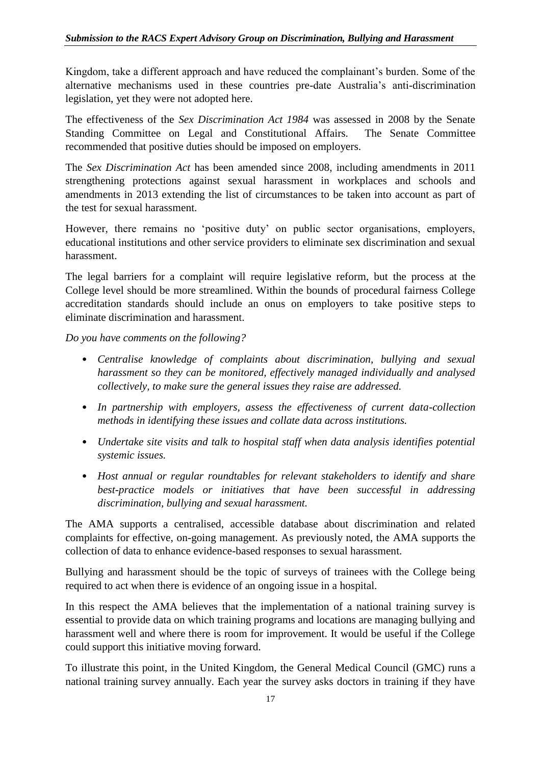Kingdom, take a different approach and have reduced the complainant's burden. Some of the alternative mechanisms used in these countries pre-date Australia's anti-discrimination legislation, yet they were not adopted here.

The effectiveness of the *Sex Discrimination Act 1984* was assessed in 2008 by the Senate Standing Committee on Legal and Constitutional Affairs. The Senate Committee recommended that positive duties should be imposed on employers.

The *Sex Discrimination Act* has been amended since 2008, including amendments in 2011 strengthening protections against sexual harassment in workplaces and schools and amendments in 2013 extending the list of circumstances to be taken into account as part of the test for sexual harassment.

However, there remains no 'positive duty' on public sector organisations, employers, educational institutions and other service providers to eliminate sex discrimination and sexual harassment.

The legal barriers for a complaint will require legislative reform, but the process at the College level should be more streamlined. Within the bounds of procedural fairness College accreditation standards should include an onus on employers to take positive steps to eliminate discrimination and harassment.

*Do you have comments on the following?*

- *Centralise knowledge of complaints about discrimination, bullying and sexual harassment so they can be monitored, effectively managed individually and analysed collectively, to make sure the general issues they raise are addressed.*
- *In partnership with employers, assess the effectiveness of current data-collection methods in identifying these issues and collate data across institutions.*
- *Undertake site visits and talk to hospital staff when data analysis identifies potential systemic issues.*
- *Host annual or regular roundtables for relevant stakeholders to identify and share best-practice models or initiatives that have been successful in addressing discrimination, bullying and sexual harassment.*

The AMA supports a centralised, accessible database about discrimination and related complaints for effective, on-going management. As previously noted, the AMA supports the collection of data to enhance evidence-based responses to sexual harassment.

Bullying and harassment should be the topic of surveys of trainees with the College being required to act when there is evidence of an ongoing issue in a hospital.

In this respect the AMA believes that the implementation of a national training survey is essential to provide data on which training programs and locations are managing bullying and harassment well and where there is room for improvement. It would be useful if the College could support this initiative moving forward.

To illustrate this point, in the United Kingdom, the General Medical Council (GMC) runs a national training survey annually. Each year the survey asks doctors in training if they have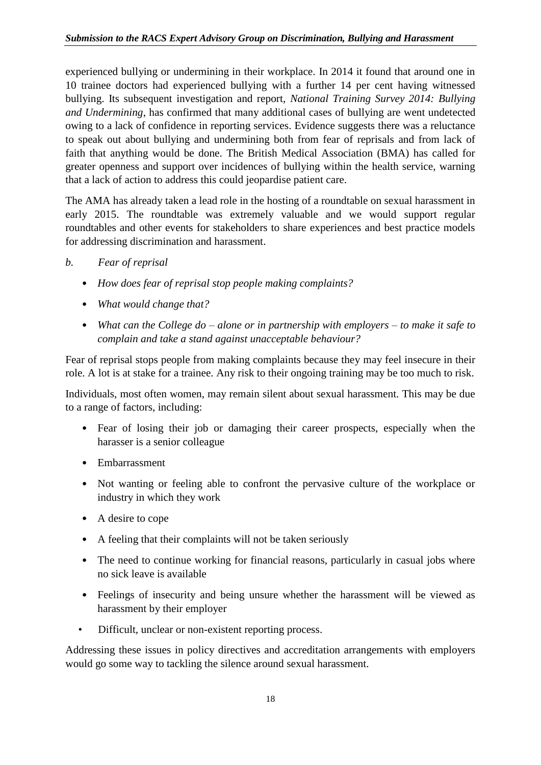experienced bullying or undermining in their workplace. In 2014 it found that around one in 10 trainee doctors had experienced bullying with a further 14 per cent having witnessed bullying. Its subsequent investigation and report, *National Training Survey 2014: Bullying and Undermining*, has confirmed that many additional cases of bullying are went undetected owing to a lack of confidence in reporting services. Evidence suggests there was a reluctance to speak out about bullying and undermining both from fear of reprisals and from lack of faith that anything would be done. The British Medical Association (BMA) has called for greater openness and support over incidences of bullying within the health service, warning that a lack of action to address this could jeopardise patient care.

The AMA has already taken a lead role in the hosting of a roundtable on sexual harassment in early 2015. The roundtable was extremely valuable and we would support regular roundtables and other events for stakeholders to share experiences and best practice models for addressing discrimination and harassment.

- *b. Fear of reprisal*
	- *How does fear of reprisal stop people making complaints?*
	- *What would change that?*
	- *What can the College do – alone or in partnership with employers – to make it safe to complain and take a stand against unacceptable behaviour?*

Fear of reprisal stops people from making complaints because they may feel insecure in their role. A lot is at stake for a trainee. Any risk to their ongoing training may be too much to risk.

Individuals, most often women, may remain silent about sexual harassment. This may be due to a range of factors, including:

- Fear of losing their job or damaging their career prospects, especially when the harasser is a senior colleague
- Embarrassment
- Not wanting or feeling able to confront the pervasive culture of the workplace or industry in which they work
- A desire to cope
- A feeling that their complaints will not be taken seriously
- The need to continue working for financial reasons, particularly in casual jobs where no sick leave is available
- Feelings of insecurity and being unsure whether the harassment will be viewed as harassment by their employer
- Difficult, unclear or non-existent reporting process.

Addressing these issues in policy directives and accreditation arrangements with employers would go some way to tackling the silence around sexual harassment.